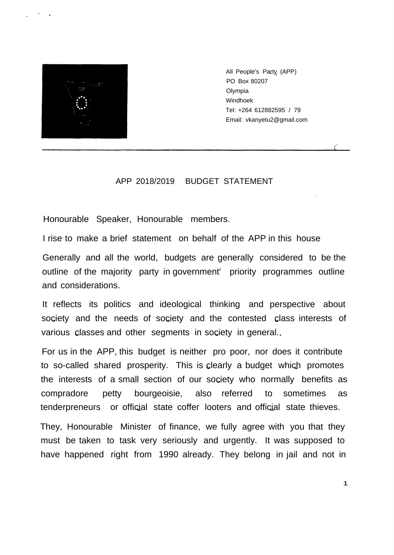

All People's Party (APP) PO Box 80207 Olympia Windhoek Tel: +264 612882595 / 79 Email: [vkanyetu2@gmail.com](mailto:vkanyetu2@gmail.com)

## APP 2018/2019 BUDGET STATEMENT

Honourable Speaker, Honourable members.

I rise to make a brief statement on behalf of the APP in this house

Generally and all the world, budgets are generally considered to be the outline of the majority party in government' priority programmes outline and considerations.

It reflects its politics and ideological thinking and perspective about society and the needs of society and the contested class interests of various classes and other segments in society in general.

For us in the APP, this budget is neither pro poor, nor does it contribute to so-called shared prosperity. This is clearly a budget which promotes the interests of a small section of our society who normally benefits as compradore petty bourgeoisie, also referred to sometimes as tenderpreneurs or official state coffer looters and official state thieves.

They, Honourable Minister of finance, we fully agree with you that they must be taken to task very seriously and urgently. It was supposed to have happened right from 1990 already. They belong in jail and not in